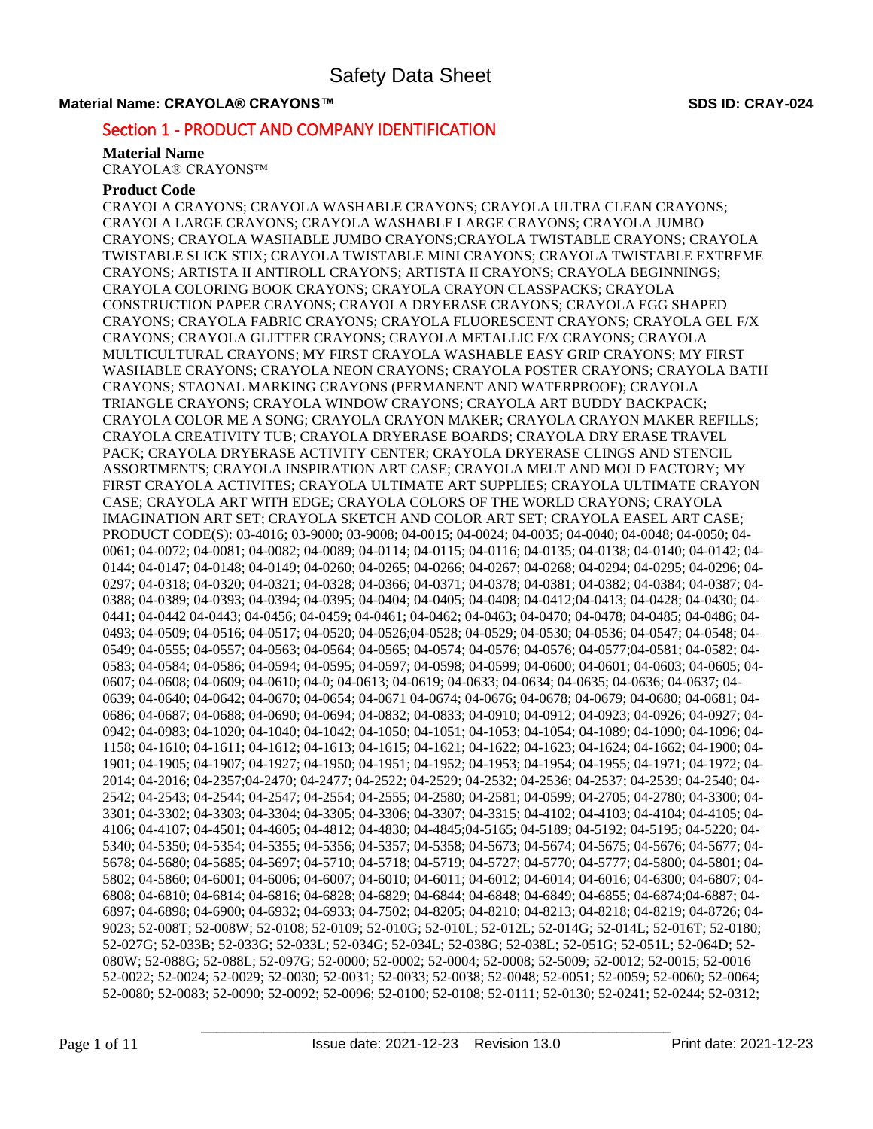# Section 1 - PRODUCT AND COMPANY IDENTIFICATION

#### **Material Name**

CRAYOLA® CRAYONS™

# **Product Code**

CRAYOLA CRAYONS; CRAYOLA WASHABLE CRAYONS; CRAYOLA ULTRA CLEAN CRAYONS; CRAYOLA LARGE CRAYONS; CRAYOLA WASHABLE LARGE CRAYONS; CRAYOLA JUMBO CRAYONS; CRAYOLA WASHABLE JUMBO CRAYONS;CRAYOLA TWISTABLE CRAYONS; CRAYOLA TWISTABLE SLICK STIX; CRAYOLA TWISTABLE MINI CRAYONS; CRAYOLA TWISTABLE EXTREME CRAYONS; ARTISTA II ANTIROLL CRAYONS; ARTISTA II CRAYONS; CRAYOLA BEGINNINGS; CRAYOLA COLORING BOOK CRAYONS; CRAYOLA CRAYON CLASSPACKS; CRAYOLA CONSTRUCTION PAPER CRAYONS; CRAYOLA DRYERASE CRAYONS; CRAYOLA EGG SHAPED CRAYONS; CRAYOLA FABRIC CRAYONS; CRAYOLA FLUORESCENT CRAYONS; CRAYOLA GEL F/X CRAYONS; CRAYOLA GLITTER CRAYONS; CRAYOLA METALLIC F/X CRAYONS; CRAYOLA MULTICULTURAL CRAYONS; MY FIRST CRAYOLA WASHABLE EASY GRIP CRAYONS; MY FIRST WASHABLE CRAYONS; CRAYOLA NEON CRAYONS; CRAYOLA POSTER CRAYONS; CRAYOLA BATH CRAYONS; STAONAL MARKING CRAYONS (PERMANENT AND WATERPROOF); CRAYOLA TRIANGLE CRAYONS; CRAYOLA WINDOW CRAYONS; CRAYOLA ART BUDDY BACKPACK; CRAYOLA COLOR ME A SONG; CRAYOLA CRAYON MAKER; CRAYOLA CRAYON MAKER REFILLS; CRAYOLA CREATIVITY TUB; CRAYOLA DRYERASE BOARDS; CRAYOLA DRY ERASE TRAVEL PACK; CRAYOLA DRYERASE ACTIVITY CENTER; CRAYOLA DRYERASE CLINGS AND STENCIL ASSORTMENTS; CRAYOLA INSPIRATION ART CASE; CRAYOLA MELT AND MOLD FACTORY; MY FIRST CRAYOLA ACTIVITES; CRAYOLA ULTIMATE ART SUPPLIES; CRAYOLA ULTIMATE CRAYON CASE; CRAYOLA ART WITH EDGE; CRAYOLA COLORS OF THE WORLD CRAYONS; CRAYOLA IMAGINATION ART SET; CRAYOLA SKETCH AND COLOR ART SET; CRAYOLA EASEL ART CASE; PRODUCT CODE(S): 03-4016; 03-9000; 03-9008; 04-0015; 04-0024; 04-0035; 04-0040; 04-0048; 04-0050; 04- 0061; 04-0072; 04-0081; 04-0082; 04-0089; 04-0114; 04-0115; 04-0116; 04-0135; 04-0138; 04-0140; 04-0142; 04- 0144; 04-0147; 04-0148; 04-0149; 04-0260; 04-0265; 04-0266; 04-0267; 04-0268; 04-0294; 04-0295; 04-0296; 04- 0297; 04-0318; 04-0320; 04-0321; 04-0328; 04-0366; 04-0371; 04-0378; 04-0381; 04-0382; 04-0384; 04-0387; 04- 0388; 04-0389; 04-0393; 04-0394; 04-0395; 04-0404; 04-0405; 04-0408; 04-0412;04-0413; 04-0428; 04-0430; 04- 0441; 04-0442 04-0443; 04-0456; 04-0459; 04-0461; 04-0462; 04-0463; 04-0470; 04-0478; 04-0485; 04-0486; 04- 0493; 04-0509; 04-0516; 04-0517; 04-0520; 04-0526;04-0528; 04-0529; 04-0530; 04-0536; 04-0547; 04-0548; 04- 0549; 04-0555; 04-0557; 04-0563; 04-0564; 04-0565; 04-0574; 04-0576; 04-0576; 04-0577;04-0581; 04-0582; 04- 0583; 04-0584; 04-0586; 04-0594; 04-0595; 04-0597; 04-0598; 04-0599; 04-0600; 04-0601; 04-0603; 04-0605; 04- 0607; 04-0608; 04-0609; 04-0610; 04-0; 04-0613; 04-0619; 04-0633; 04-0634; 04-0635; 04-0636; 04-0637; 04-0639; 04-0640; 04-0642; 04-0670; 04-0654; 04-0671 04-0674; 04-0676; 04-0678; 04-0679; 04-0680; 04-0681; 04- 0686; 04-0687; 04-0688; 04-0690; 04-0694; 04-0832; 04-0833; 04-0910; 04-0912; 04-0923; 04-0926; 04-0927; 04- 0942; 04-0983; 04-1020; 04-1040; 04-1042; 04-1050; 04-1051; 04-1053; 04-1054; 04-1089; 04-1090; 04-1096; 04- 1158; 04-1610; 04-1611; 04-1612; 04-1613; 04-1615; 04-1621; 04-1622; 04-1623; 04-1624; 04-1662; 04-1900; 04- 1901; 04-1905; 04-1907; 04-1927; 04-1950; 04-1951; 04-1952; 04-1953; 04-1954; 04-1955; 04-1971; 04-1972; 04- 2014; 04-2016; 04-2357;04-2470; 04-2477; 04-2522; 04-2529; 04-2532; 04-2536; 04-2537; 04-2539; 04-2540; 04- 2542; 04-2543; 04-2544; 04-2547; 04-2554; 04-2555; 04-2580; 04-2581; 04-0599; 04-2705; 04-2780; 04-3300; 04- 3301; 04-3302; 04-3303; 04-3304; 04-3305; 04-3306; 04-3307; 04-3315; 04-4102; 04-4103; 04-4104; 04-4105; 04- 4106; 04-4107; 04-4501; 04-4605; 04-4812; 04-4830; 04-4845;04-5165; 04-5189; 04-5192; 04-5195; 04-5220; 04- 5340; 04-5350; 04-5354; 04-5355; 04-5356; 04-5357; 04-5358; 04-5673; 04-5674; 04-5675; 04-5676; 04-5677; 04- 5678; 04-5680; 04-5685; 04-5697; 04-5710; 04-5718; 04-5719; 04-5727; 04-5770; 04-5777; 04-5800; 04-5801; 04- 5802; 04-5860; 04-6001; 04-6006; 04-6007; 04-6010; 04-6011; 04-6012; 04-6014; 04-6016; 04-6300; 04-6807; 04- 6808; 04-6810; 04-6814; 04-6816; 04-6828; 04-6829; 04-6844; 04-6848; 04-6849; 04-6855; 04-6874;04-6887; 04- 6897; 04-6898; 04-6900; 04-6932; 04-6933; 04-7502; 04-8205; 04-8210; 04-8213; 04-8218; 04-8219; 04-8726; 04- 9023; 52-008T; 52-008W; 52-0108; 52-0109; 52-010G; 52-010L; 52-012L; 52-014G; 52-014L; 52-016T; 52-0180; 52-027G; 52-033B; 52-033G; 52-033L; 52-034G; 52-034L; 52-038G; 52-038L; 52-051G; 52-051L; 52-064D; 52- 080W; 52-088G; 52-088L; 52-097G; 52-0000; 52-0002; 52-0004; 52-0008; 52-5009; 52-0012; 52-0015; 52-0016 52-0022; 52-0024; 52-0029; 52-0030; 52-0031; 52-0033; 52-0038; 52-0048; 52-0051; 52-0059; 52-0060; 52-0064; 52-0080; 52-0083; 52-0090; 52-0092; 52-0096; 52-0100; 52-0108; 52-0111; 52-0130; 52-0241; 52-0244; 52-0312;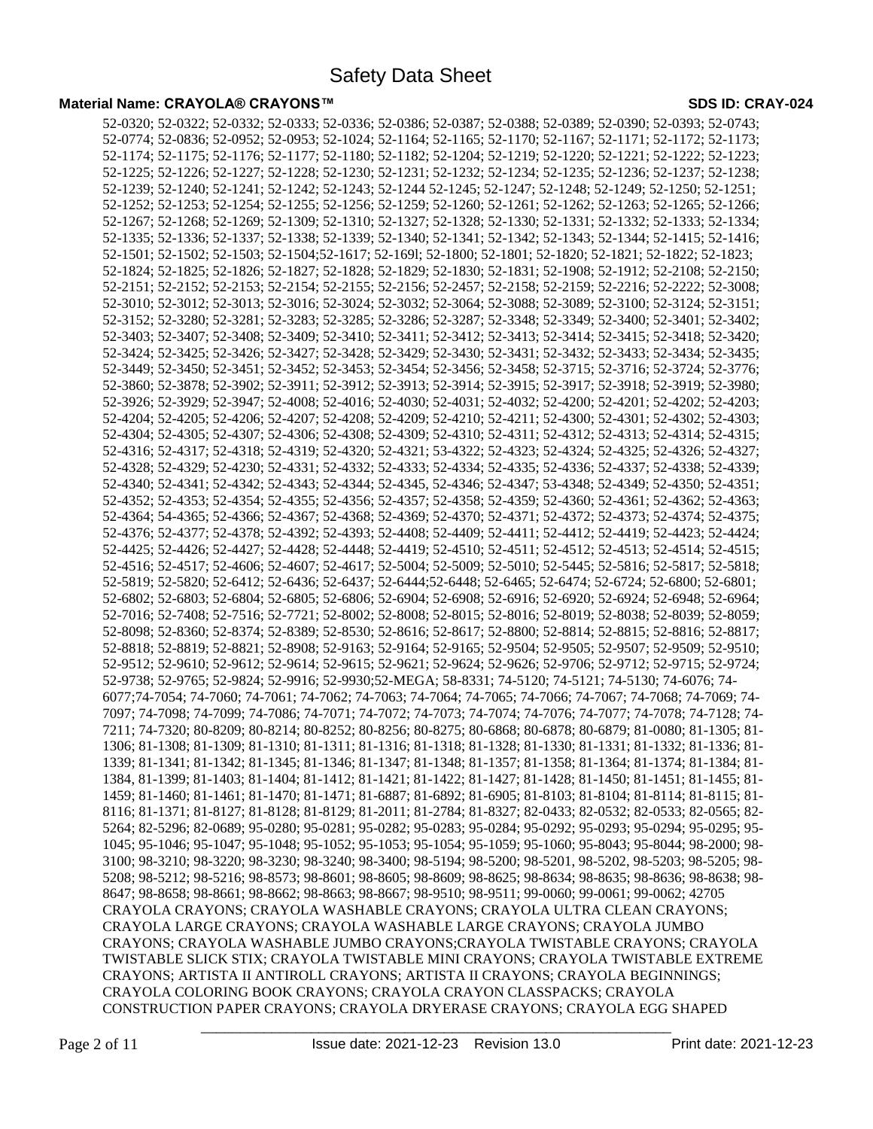52-0320; 52-0322; 52-0332; 52-0333; 52-0336; 52-0386; 52-0387; 52-0388; 52-0389; 52-0390; 52-0393; 52-0743; 52-0774; 52-0836; 52-0952; 52-0953; 52-1024; 52-1164; 52-1165; 52-1170; 52-1167; 52-1171; 52-1172; 52-1173; 52-1174; 52-1175; 52-1176; 52-1177; 52-1180; 52-1182; 52-1204; 52-1219; 52-1220; 52-1221; 52-1222; 52-1223; 52-1225; 52-1226; 52-1227; 52-1228; 52-1230; 52-1231; 52-1232; 52-1234; 52-1235; 52-1236; 52-1237; 52-1238; 52-1239; 52-1240; 52-1241; 52-1242; 52-1243; 52-1244 52-1245; 52-1247; 52-1248; 52-1249; 52-1250; 52-1251; 52-1252; 52-1253; 52-1254; 52-1255; 52-1256; 52-1259; 52-1260; 52-1261; 52-1262; 52-1263; 52-1265; 52-1266; 52-1267; 52-1268; 52-1269; 52-1309; 52-1310; 52-1327; 52-1328; 52-1330; 52-1331; 52-1332; 52-1333; 52-1334; 52-1335; 52-1336; 52-1337; 52-1338; 52-1339; 52-1340; 52-1341; 52-1342; 52-1343; 52-1344; 52-1415; 52-1416; 52-1501; 52-1502; 52-1503; 52-1504;52-1617; 52-169l; 52-1800; 52-1801; 52-1820; 52-1821; 52-1822; 52-1823; 52-1824; 52-1825; 52-1826; 52-1827; 52-1828; 52-1829; 52-1830; 52-1831; 52-1908; 52-1912; 52-2108; 52-2150; 52-2151; 52-2152; 52-2153; 52-2154; 52-2155; 52-2156; 52-2457; 52-2158; 52-2159; 52-2216; 52-2222; 52-3008; 52-3010; 52-3012; 52-3013; 52-3016; 52-3024; 52-3032; 52-3064; 52-3088; 52-3089; 52-3100; 52-3124; 52-3151; 52-3152; 52-3280; 52-3281; 52-3283; 52-3285; 52-3286; 52-3287; 52-3348; 52-3349; 52-3400; 52-3401; 52-3402; 52-3403; 52-3407; 52-3408; 52-3409; 52-3410; 52-3411; 52-3412; 52-3413; 52-3414; 52-3415; 52-3418; 52-3420; 52-3424; 52-3425; 52-3426; 52-3427; 52-3428; 52-3429; 52-3430; 52-3431; 52-3432; 52-3433; 52-3434; 52-3435; 52-3449; 52-3450; 52-3451; 52-3452; 52-3453; 52-3454; 52-3456; 52-3458; 52-3715; 52-3716; 52-3724; 52-3776; 52-3860; 52-3878; 52-3902; 52-3911; 52-3912; 52-3913; 52-3914; 52-3915; 52-3917; 52-3918; 52-3919; 52-3980; 52-3926; 52-3929; 52-3947; 52-4008; 52-4016; 52-4030; 52-4031; 52-4032; 52-4200; 52-4201; 52-4202; 52-4203; 52-4204; 52-4205; 52-4206; 52-4207; 52-4208; 52-4209; 52-4210; 52-4211; 52-4300; 52-4301; 52-4302; 52-4303; 52-4304; 52-4305; 52-4307; 52-4306; 52-4308; 52-4309; 52-4310; 52-4311; 52-4312; 52-4313; 52-4314; 52-4315; 52-4316; 52-4317; 52-4318; 52-4319; 52-4320; 52-4321; 53-4322; 52-4323; 52-4324; 52-4325; 52-4326; 52-4327; 52-4328; 52-4329; 52-4230; 52-4331; 52-4332; 52-4333; 52-4334; 52-4335; 52-4336; 52-4337; 52-4338; 52-4339; 52-4340; 52-4341; 52-4342; 52-4343; 52-4344; 52-4345, 52-4346; 52-4347; 53-4348; 52-4349; 52-4350; 52-4351; 52-4352; 52-4353; 52-4354; 52-4355; 52-4356; 52-4357; 52-4358; 52-4359; 52-4360; 52-4361; 52-4362; 52-4363; 52-4364; 54-4365; 52-4366; 52-4367; 52-4368; 52-4369; 52-4370; 52-4371; 52-4372; 52-4373; 52-4374; 52-4375; 52-4376; 52-4377; 52-4378; 52-4392; 52-4393; 52-4408; 52-4409; 52-4411; 52-4412; 52-4419; 52-4423; 52-4424; 52-4425; 52-4426; 52-4427; 52-4428; 52-4448; 52-4419; 52-4510; 52-4511; 52-4512; 52-4513; 52-4514; 52-4515; 52-4516; 52-4517; 52-4606; 52-4607; 52-4617; 52-5004; 52-5009; 52-5010; 52-5445; 52-5816; 52-5817; 52-5818; 52-5819; 52-5820; 52-6412; 52-6436; 52-6437; 52-6444;52-6448; 52-6465; 52-6474; 52-6724; 52-6800; 52-6801; 52-6802; 52-6803; 52-6804; 52-6805; 52-6806; 52-6904; 52-6908; 52-6916; 52-6920; 52-6924; 52-6948; 52-6964; 52-7016; 52-7408; 52-7516; 52-7721; 52-8002; 52-8008; 52-8015; 52-8016; 52-8019; 52-8038; 52-8039; 52-8059; 52-8098; 52-8360; 52-8374; 52-8389; 52-8530; 52-8616; 52-8617; 52-8800; 52-8814; 52-8815; 52-8816; 52-8817; 52-8818; 52-8819; 52-8821; 52-8908; 52-9163; 52-9164; 52-9165; 52-9504; 52-9505; 52-9507; 52-9509; 52-9510; 52-9512; 52-9610; 52-9612; 52-9614; 52-9615; 52-9621; 52-9624; 52-9626; 52-9706; 52-9712; 52-9715; 52-9724; 52-9738; 52-9765; 52-9824; 52-9916; 52-9930;52-MEGA; 58-8331; 74-5120; 74-5121; 74-5130; 74-6076; 74- 6077;74-7054; 74-7060; 74-7061; 74-7062; 74-7063; 74-7064; 74-7065; 74-7066; 74-7067; 74-7068; 74-7069; 74- 7097; 74-7098; 74-7099; 74-7086; 74-7071; 74-7072; 74-7073; 74-7074; 74-7076; 74-7077; 74-7078; 74-7128; 74- 7211; 74-7320; 80-8209; 80-8214; 80-8252; 80-8256; 80-8275; 80-6868; 80-6878; 80-6879; 81-0080; 81-1305; 81- 1306; 81-1308; 81-1309; 81-1310; 81-1311; 81-1316; 81-1318; 81-1328; 81-1330; 81-1331; 81-1332; 81-1336; 81- 1339; 81-1341; 81-1342; 81-1345; 81-1346; 81-1347; 81-1348; 81-1357; 81-1358; 81-1364; 81-1374; 81-1384; 81- 1384, 81-1399; 81-1403; 81-1404; 81-1412; 81-1421; 81-1422; 81-1427; 81-1428; 81-1450; 81-1451; 81-1455; 81- 1459; 81-1460; 81-1461; 81-1470; 81-1471; 81-6887; 81-6892; 81-6905; 81-8103; 81-8104; 81-8114; 81-8115; 81- 8116; 81-1371; 81-8127; 81-8128; 81-8129; 81-2011; 81-2784; 81-8327; 82-0433; 82-0532; 82-0533; 82-0565; 82- 5264; 82-5296; 82-0689; 95-0280; 95-0281; 95-0282; 95-0283; 95-0284; 95-0292; 95-0293; 95-0294; 95-0295; 95- 1045; 95-1046; 95-1047; 95-1048; 95-1052; 95-1053; 95-1054; 95-1059; 95-1060; 95-8043; 95-8044; 98-2000; 98- 3100; 98-3210; 98-3220; 98-3230; 98-3240; 98-3400; 98-5194; 98-5200; 98-5201, 98-5202, 98-5203; 98-5205; 98- 5208; 98-5212; 98-5216; 98-8573; 98-8601; 98-8605; 98-8609; 98-8625; 98-8634; 98-8635; 98-8636; 98-8638; 98- 8647; 98-8658; 98-8661; 98-8662; 98-8663; 98-8667; 98-9510; 98-9511; 99-0060; 99-0061; 99-0062; 42705 CRAYOLA CRAYONS; CRAYOLA WASHABLE CRAYONS; CRAYOLA ULTRA CLEAN CRAYONS; CRAYOLA LARGE CRAYONS; CRAYOLA WASHABLE LARGE CRAYONS; CRAYOLA JUMBO CRAYONS; CRAYOLA WASHABLE JUMBO CRAYONS;CRAYOLA TWISTABLE CRAYONS; CRAYOLA TWISTABLE SLICK STIX; CRAYOLA TWISTABLE MINI CRAYONS; CRAYOLA TWISTABLE EXTREME CRAYONS; ARTISTA II ANTIROLL CRAYONS; ARTISTA II CRAYONS; CRAYOLA BEGINNINGS; CRAYOLA COLORING BOOK CRAYONS; CRAYOLA CRAYON CLASSPACKS; CRAYOLA CONSTRUCTION PAPER CRAYONS; CRAYOLA DRYERASE CRAYONS; CRAYOLA EGG SHAPED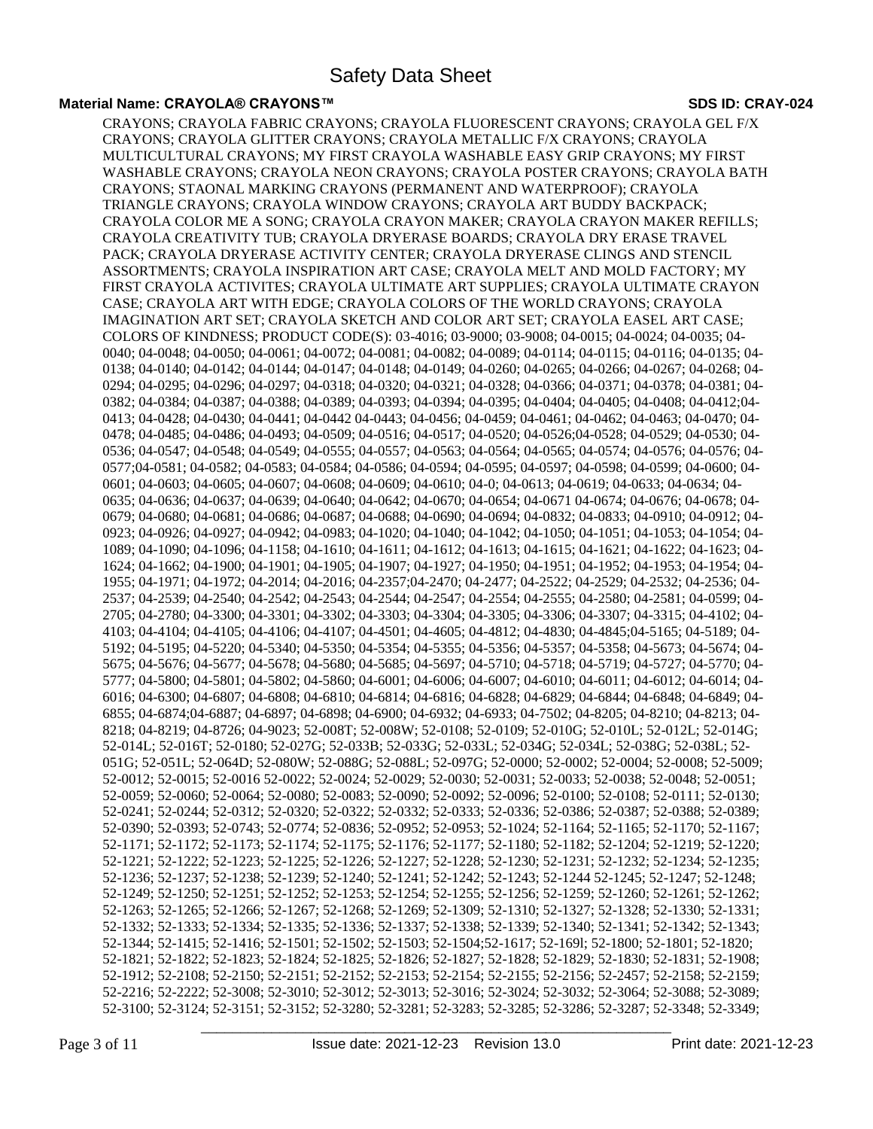#### **Material Name: CRAYOLA® CRAYONS™ SDS ID: CRAY-024**

CRAYONS; CRAYOLA FABRIC CRAYONS; CRAYOLA FLUORESCENT CRAYONS; CRAYOLA GEL F/X CRAYONS; CRAYOLA GLITTER CRAYONS; CRAYOLA METALLIC F/X CRAYONS; CRAYOLA MULTICULTURAL CRAYONS; MY FIRST CRAYOLA WASHABLE EASY GRIP CRAYONS; MY FIRST WASHABLE CRAYONS; CRAYOLA NEON CRAYONS; CRAYOLA POSTER CRAYONS; CRAYOLA BATH CRAYONS; STAONAL MARKING CRAYONS (PERMANENT AND WATERPROOF); CRAYOLA TRIANGLE CRAYONS; CRAYOLA WINDOW CRAYONS; CRAYOLA ART BUDDY BACKPACK; CRAYOLA COLOR ME A SONG; CRAYOLA CRAYON MAKER; CRAYOLA CRAYON MAKER REFILLS; CRAYOLA CREATIVITY TUB; CRAYOLA DRYERASE BOARDS; CRAYOLA DRY ERASE TRAVEL PACK; CRAYOLA DRYERASE ACTIVITY CENTER; CRAYOLA DRYERASE CLINGS AND STENCIL ASSORTMENTS; CRAYOLA INSPIRATION ART CASE; CRAYOLA MELT AND MOLD FACTORY; MY FIRST CRAYOLA ACTIVITES; CRAYOLA ULTIMATE ART SUPPLIES; CRAYOLA ULTIMATE CRAYON CASE; CRAYOLA ART WITH EDGE; CRAYOLA COLORS OF THE WORLD CRAYONS; CRAYOLA IMAGINATION ART SET; CRAYOLA SKETCH AND COLOR ART SET; CRAYOLA EASEL ART CASE; COLORS OF KINDNESS; PRODUCT CODE(S): 03-4016; 03-9000; 03-9008; 04-0015; 04-0024; 04-0035; 04- 0040; 04-0048; 04-0050; 04-0061; 04-0072; 04-0081; 04-0082; 04-0089; 04-0114; 04-0115; 04-0116; 04-0135; 04- 0138; 04-0140; 04-0142; 04-0144; 04-0147; 04-0148; 04-0149; 04-0260; 04-0265; 04-0266; 04-0267; 04-0268; 04- 0294; 04-0295; 04-0296; 04-0297; 04-0318; 04-0320; 04-0321; 04-0328; 04-0366; 04-0371; 04-0378; 04-0381; 04- 0382; 04-0384; 04-0387; 04-0388; 04-0389; 04-0393; 04-0394; 04-0395; 04-0404; 04-0405; 04-0408; 04-0412;04- 0413; 04-0428; 04-0430; 04-0441; 04-0442 04-0443; 04-0456; 04-0459; 04-0461; 04-0462; 04-0463; 04-0470; 04- 0478; 04-0485; 04-0486; 04-0493; 04-0509; 04-0516; 04-0517; 04-0520; 04-0526;04-0528; 04-0529; 04-0530; 04- 0536; 04-0547; 04-0548; 04-0549; 04-0555; 04-0557; 04-0563; 04-0564; 04-0565; 04-0574; 04-0576; 04-0576; 04- 0577;04-0581; 04-0582; 04-0583; 04-0584; 04-0586; 04-0594; 04-0595; 04-0597; 04-0598; 04-0599; 04-0600; 04- 0601; 04-0603; 04-0605; 04-0607; 04-0608; 04-0609; 04-0610; 04-0613; 04-0613; 04-0633; 04-0634; 04-0634; 04-0635; 04-0636; 04-0637; 04-0639; 04-0640; 04-0642; 04-0670; 04-0654; 04-0671 04-0674; 04-0676; 04-0678; 04- 0679; 04-0680; 04-0681; 04-0686; 04-0687; 04-0688; 04-0690; 04-0694; 04-0832; 04-0833; 04-0910; 04-0912; 04- 0923; 04-0926; 04-0927; 04-0942; 04-0983; 04-1020; 04-1040; 04-1042; 04-1050; 04-1051; 04-1053; 04-1054; 04- 1089; 04-1090; 04-1096; 04-1158; 04-1610; 04-1611; 04-1612; 04-1613; 04-1615; 04-1621; 04-1622; 04-1623; 04- 1624; 04-1662; 04-1900; 04-1901; 04-1905; 04-1907; 04-1927; 04-1950; 04-1951; 04-1952; 04-1953; 04-1954; 04- 1955; 04-1971; 04-1972; 04-2014; 04-2016; 04-2357;04-2470; 04-2477; 04-2522; 04-2529; 04-2532; 04-2536; 04- 2537; 04-2539; 04-2540; 04-2542; 04-2543; 04-2544; 04-2547; 04-2554; 04-2555; 04-2580; 04-2581; 04-0599; 04- 2705; 04-2780; 04-3300; 04-3301; 04-3302; 04-3303; 04-3304; 04-3305; 04-3306; 04-3307; 04-3315; 04-4102; 04- 4103; 04-4104; 04-4105; 04-4106; 04-4107; 04-4501; 04-4605; 04-4812; 04-4830; 04-4845;04-5165; 04-5189; 04- 5192; 04-5195; 04-5220; 04-5340; 04-5350; 04-5354; 04-5355; 04-5356; 04-5357; 04-5358; 04-5673; 04-5674; 04- 5675; 04-5676; 04-5677; 04-5678; 04-5680; 04-5685; 04-5697; 04-5710; 04-5718; 04-5719; 04-5727; 04-5770; 04- 5777; 04-5800; 04-5801; 04-5802; 04-5860; 04-6001; 04-6006; 04-6007; 04-6010; 04-6011; 04-6012; 04-6014; 04- 6016; 04-6300; 04-6807; 04-6808; 04-6810; 04-6814; 04-6816; 04-6828; 04-6829; 04-6844; 04-6848; 04-6849; 04- 6855; 04-6874;04-6887; 04-6897; 04-6898; 04-6900; 04-6932; 04-6933; 04-7502; 04-8205; 04-8210; 04-8213; 04- 8218; 04-8219; 04-8726; 04-9023; 52-008T; 52-008W; 52-0108; 52-0109; 52-010G; 52-010L; 52-012L; 52-014G; 52-014L; 52-016T; 52-0180; 52-027G; 52-033B; 52-033G; 52-033L; 52-034G; 52-034L; 52-038G; 52-038L; 52- 051G; 52-051L; 52-064D; 52-080W; 52-088G; 52-088L; 52-097G; 52-0000; 52-0002; 52-0004; 52-0008; 52-5009; 52-0012; 52-0015; 52-0016 52-0022; 52-0024; 52-0029; 52-0030; 52-0031; 52-0033; 52-0038; 52-0048; 52-0051; 52-0059; 52-0060; 52-0064; 52-0080; 52-0083; 52-0090; 52-0092; 52-0096; 52-0100; 52-0108; 52-0111; 52-0130; 52-0241; 52-0244; 52-0312; 52-0320; 52-0322; 52-0332; 52-0333; 52-0336; 52-0386; 52-0387; 52-0388; 52-0389; 52-0390; 52-0393; 52-0743; 52-0774; 52-0836; 52-0952; 52-0953; 52-1024; 52-1164; 52-1165; 52-1170; 52-1167; 52-1171; 52-1172; 52-1173; 52-1174; 52-1175; 52-1176; 52-1177; 52-1180; 52-1182; 52-1204; 52-1219; 52-1220; 52-1221; 52-1222; 52-1223; 52-1225; 52-1226; 52-1227; 52-1228; 52-1230; 52-1231; 52-1232; 52-1234; 52-1235; 52-1236; 52-1237; 52-1238; 52-1239; 52-1240; 52-1241; 52-1242; 52-1243; 52-1244 52-1245; 52-1247; 52-1248; 52-1249; 52-1250; 52-1251; 52-1252; 52-1253; 52-1254; 52-1255; 52-1256; 52-1259; 52-1260; 52-1261; 52-1262; 52-1263; 52-1265; 52-1266; 52-1267; 52-1268; 52-1269; 52-1309; 52-1310; 52-1327; 52-1328; 52-1330; 52-1331; 52-1332; 52-1333; 52-1334; 52-1335; 52-1336; 52-1337; 52-1338; 52-1339; 52-1340; 52-1341; 52-1342; 52-1343; 52-1344; 52-1415; 52-1416; 52-1501; 52-1502; 52-1503; 52-1504;52-1617; 52-169l; 52-1800; 52-1801; 52-1820; 52-1821; 52-1822; 52-1823; 52-1824; 52-1825; 52-1826; 52-1827; 52-1828; 52-1829; 52-1830; 52-1831; 52-1908; 52-1912; 52-2108; 52-2150; 52-2151; 52-2152; 52-2153; 52-2154; 52-2155; 52-2156; 52-2457; 52-2158; 52-2159; 52-2216; 52-2222; 52-3008; 52-3010; 52-3012; 52-3013; 52-3016; 52-3024; 52-3032; 52-3064; 52-3088; 52-3089; 52-3100; 52-3124; 52-3151; 52-3152; 52-3280; 52-3281; 52-3283; 52-3285; 52-3286; 52-3287; 52-3348; 52-3349;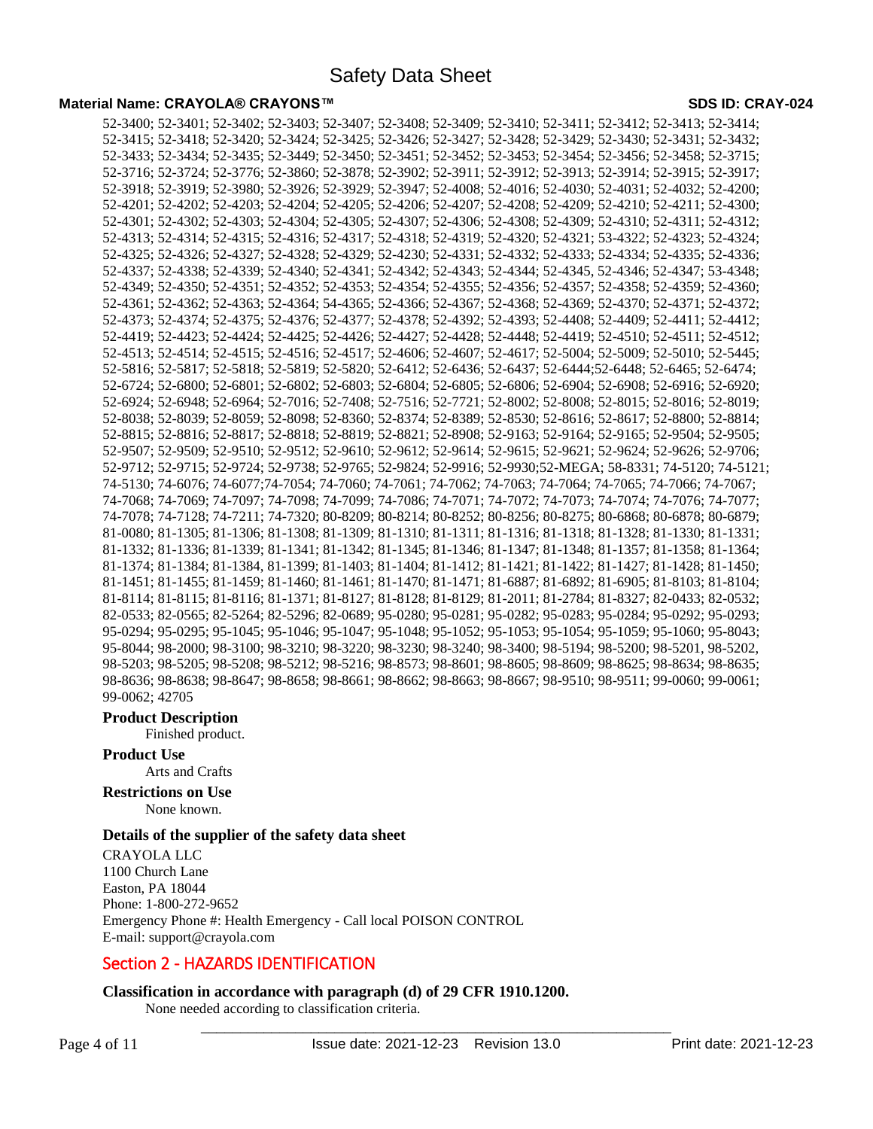52-3400; 52-3401; 52-3402; 52-3403; 52-3407; 52-3408; 52-3409; 52-3410; 52-3411; 52-3412; 52-3413; 52-3414; 52-3415; 52-3418; 52-3420; 52-3424; 52-3425; 52-3426; 52-3427; 52-3428; 52-3429; 52-3430; 52-3431; 52-3432; 52-3433; 52-3434; 52-3435; 52-3449; 52-3450; 52-3451; 52-3452; 52-3453; 52-3454; 52-3456; 52-3458; 52-3715; 52-3716; 52-3724; 52-3776; 52-3860; 52-3878; 52-3902; 52-3911; 52-3912; 52-3913; 52-3914; 52-3915; 52-3917; 52-3918; 52-3919; 52-3980; 52-3926; 52-3929; 52-3947; 52-4008; 52-4016; 52-4030; 52-4031; 52-4032; 52-4200; 52-4201; 52-4202; 52-4203; 52-4204; 52-4205; 52-4206; 52-4207; 52-4208; 52-4209; 52-4210; 52-4211; 52-4300; 52-4301; 52-4302; 52-4303; 52-4304; 52-4305; 52-4307; 52-4306; 52-4308; 52-4309; 52-4310; 52-4311; 52-4312; 52-4313; 52-4314; 52-4315; 52-4316; 52-4317; 52-4318; 52-4319; 52-4320; 52-4321; 53-4322; 52-4323; 52-4324; 52-4325; 52-4326; 52-4327; 52-4328; 52-4329; 52-4230; 52-4331; 52-4332; 52-4333; 52-4334; 52-4335; 52-4336; 52-4337; 52-4338; 52-4339; 52-4340; 52-4341; 52-4342; 52-4343; 52-4344; 52-4345, 52-4346; 52-4347; 53-4348; 52-4349; 52-4350; 52-4351; 52-4352; 52-4353; 52-4354; 52-4355; 52-4356; 52-4357; 52-4358; 52-4359; 52-4360; 52-4361; 52-4362; 52-4363; 52-4364; 54-4365; 52-4366; 52-4367; 52-4368; 52-4369; 52-4370; 52-4371; 52-4372; 52-4373; 52-4374; 52-4375; 52-4376; 52-4377; 52-4378; 52-4392; 52-4393; 52-4408; 52-4409; 52-4411; 52-4412; 52-4419; 52-4423; 52-4424; 52-4425; 52-4426; 52-4427; 52-4428; 52-4448; 52-4419; 52-4510; 52-4511; 52-4512; 52-4513; 52-4514; 52-4515; 52-4516; 52-4517; 52-4606; 52-4607; 52-4617; 52-5004; 52-5009; 52-5010; 52-5445; 52-5816; 52-5817; 52-5818; 52-5819; 52-5820; 52-6412; 52-6436; 52-6437; 52-6444;52-6448; 52-6465; 52-6474; 52-6724; 52-6800; 52-6801; 52-6802; 52-6803; 52-6804; 52-6805; 52-6806; 52-6904; 52-6908; 52-6916; 52-6920; 52-6924; 52-6948; 52-6964; 52-7016; 52-7408; 52-7516; 52-7721; 52-8002; 52-8008; 52-8015; 52-8016; 52-8019; 52-8038; 52-8039; 52-8059; 52-8098; 52-8360; 52-8374; 52-8389; 52-8530; 52-8616; 52-8617; 52-8800; 52-8814; 52-8815; 52-8816; 52-8817; 52-8818; 52-8819; 52-8821; 52-8908; 52-9163; 52-9164; 52-9165; 52-9504; 52-9505; 52-9507; 52-9509; 52-9510; 52-9512; 52-9610; 52-9612; 52-9614; 52-9615; 52-9621; 52-9624; 52-9626; 52-9706; 52-9712; 52-9715; 52-9724; 52-9738; 52-9765; 52-9824; 52-9916; 52-9930;52-MEGA; 58-8331; 74-5120; 74-5121; 74-5130; 74-6076; 74-6077;74-7054; 74-7060; 74-7061; 74-7062; 74-7063; 74-7064; 74-7065; 74-7066; 74-7067; 74-7068; 74-7069; 74-7097; 74-7098; 74-7099; 74-7086; 74-7071; 74-7072; 74-7073; 74-7074; 74-7076; 74-7077; 74-7078; 74-7128; 74-7211; 74-7320; 80-8209; 80-8214; 80-8252; 80-8256; 80-8275; 80-6868; 80-6878; 80-6879; 81-0080; 81-1305; 81-1306; 81-1308; 81-1309; 81-1310; 81-1311; 81-1316; 81-1318; 81-1328; 81-1330; 81-1331; 81-1332; 81-1336; 81-1339; 81-1341; 81-1342; 81-1345; 81-1346; 81-1347; 81-1348; 81-1357; 81-1358; 81-1364; 81-1374; 81-1384; 81-1384, 81-1399; 81-1403; 81-1404; 81-1412; 81-1421; 81-1422; 81-1427; 81-1428; 81-1450; 81-1451; 81-1455; 81-1459; 81-1460; 81-1461; 81-1470; 81-1471; 81-6887; 81-6892; 81-6905; 81-8103; 81-8104; 81-8114; 81-8115; 81-8116; 81-1371; 81-8127; 81-8128; 81-8129; 81-2011; 81-2784; 81-8327; 82-0433; 82-0532; 82-0533; 82-0565; 82-5264; 82-5296; 82-0689; 95-0280; 95-0281; 95-0282; 95-0283; 95-0284; 95-0292; 95-0293; 95-0294; 95-0295; 95-1045; 95-1046; 95-1047; 95-1048; 95-1052; 95-1053; 95-1054; 95-1059; 95-1060; 95-8043; 95-8044; 98-2000; 98-3100; 98-3210; 98-3220; 98-3230; 98-3240; 98-3400; 98-5194; 98-5200; 98-5201, 98-5202, 98-5203; 98-5205; 98-5208; 98-5212; 98-5216; 98-8573; 98-8601; 98-8605; 98-8609; 98-8625; 98-8634; 98-8635; 98-8636; 98-8638; 98-8647; 98-8658; 98-8661; 98-8662; 98-8663; 98-8667; 98-9510; 98-9511; 99-0060; 99-0061; 99-0062; 42705

#### **Product Description**

Finished product.

# **Product Use**

Arts and Crafts

# **Restrictions on Use**

None known.

# **Details of the supplier of the safety data sheet**

CRAYOLA LLC 1100 Church Lane Easton, PA 18044 Phone: 1-800-272-9652 Emergency Phone #: Health Emergency - Call local POISON CONTROL E-mail: support@crayola.com

# Section 2 - HAZARDS IDENTIFICATION

# **Classification in accordance with paragraph (d) of 29 CFR 1910.1200.**

None needed according to classification criteria.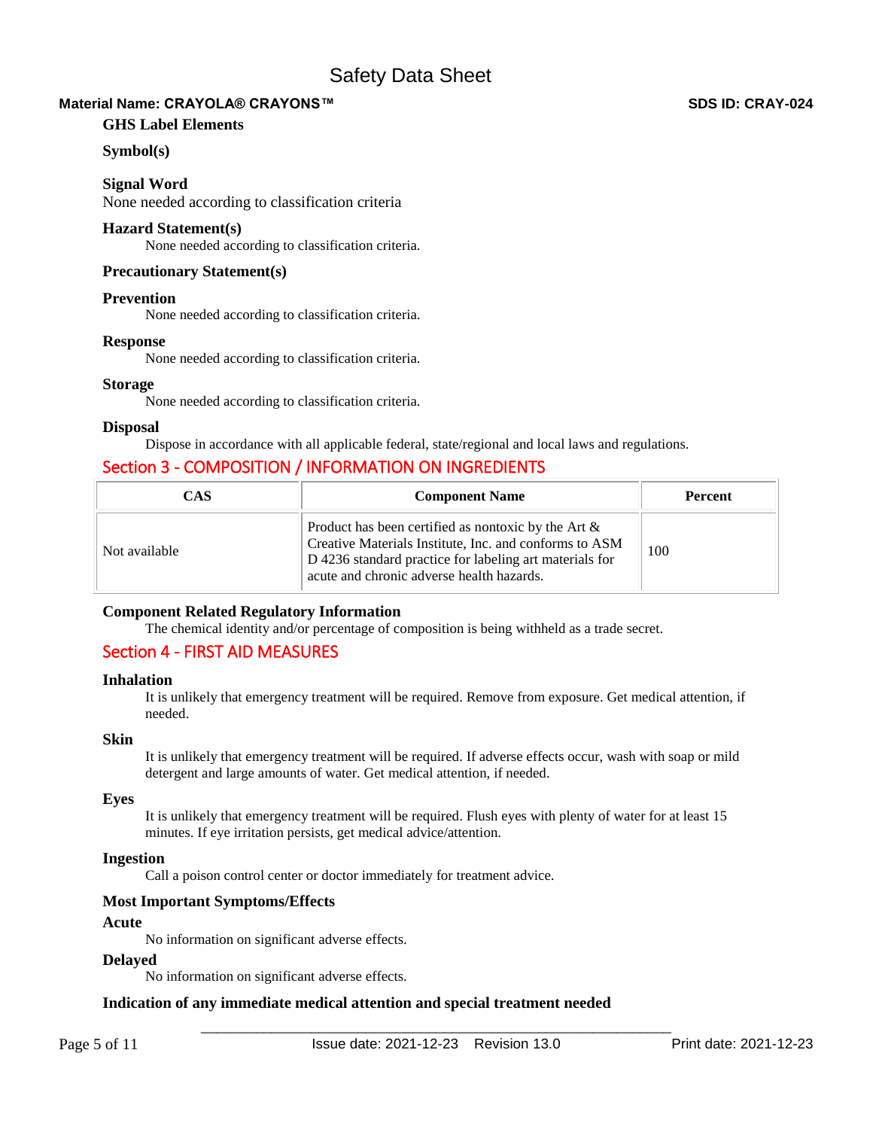# **Material Name: CRAYOLA® CRAYONS™ SDS ID: CRAY-024**

# **GHS Label Elements**

# **Symbol(s)**

**Signal Word** 

None needed according to classification criteria

# **Hazard Statement(s)**

None needed according to classification criteria.

# **Precautionary Statement(s)**

# **Prevention**

None needed according to classification criteria.

# **Response**

None needed according to classification criteria.

# **Storage**

None needed according to classification criteria.

# **Disposal**

Dispose in accordance with all applicable federal, state/regional and local laws and regulations.

# Section 3 - COMPOSITION / INFORMATION ON INGREDIENTS

| CAS           | <b>Component Name</b>                                                                                                                                                                                                    | <b>Percent</b> |
|---------------|--------------------------------------------------------------------------------------------------------------------------------------------------------------------------------------------------------------------------|----------------|
| Not available | Product has been certified as nontoxic by the Art $\&$<br>Creative Materials Institute, Inc. and conforms to ASM<br>D 4236 standard practice for labeling art materials for<br>acute and chronic adverse health hazards. | 100            |

# **Component Related Regulatory Information**

The chemical identity and/or percentage of composition is being withheld as a trade secret.

# Section 4 - FIRST AID MEASURES

# **Inhalation**

It is unlikely that emergency treatment will be required. Remove from exposure. Get medical attention, if needed.

# **Skin**

It is unlikely that emergency treatment will be required. If adverse effects occur, wash with soap or mild detergent and large amounts of water. Get medical attention, if needed.

# **Eyes**

It is unlikely that emergency treatment will be required. Flush eyes with plenty of water for at least 15 minutes. If eye irritation persists, get medical advice/attention.

# **Ingestion**

Call a poison control center or doctor immediately for treatment advice.

# **Most Important Symptoms/Effects**

# **Acute**

No information on significant adverse effects.

# **Delayed**

No information on significant adverse effects.

# **Indication of any immediate medical attention and special treatment needed**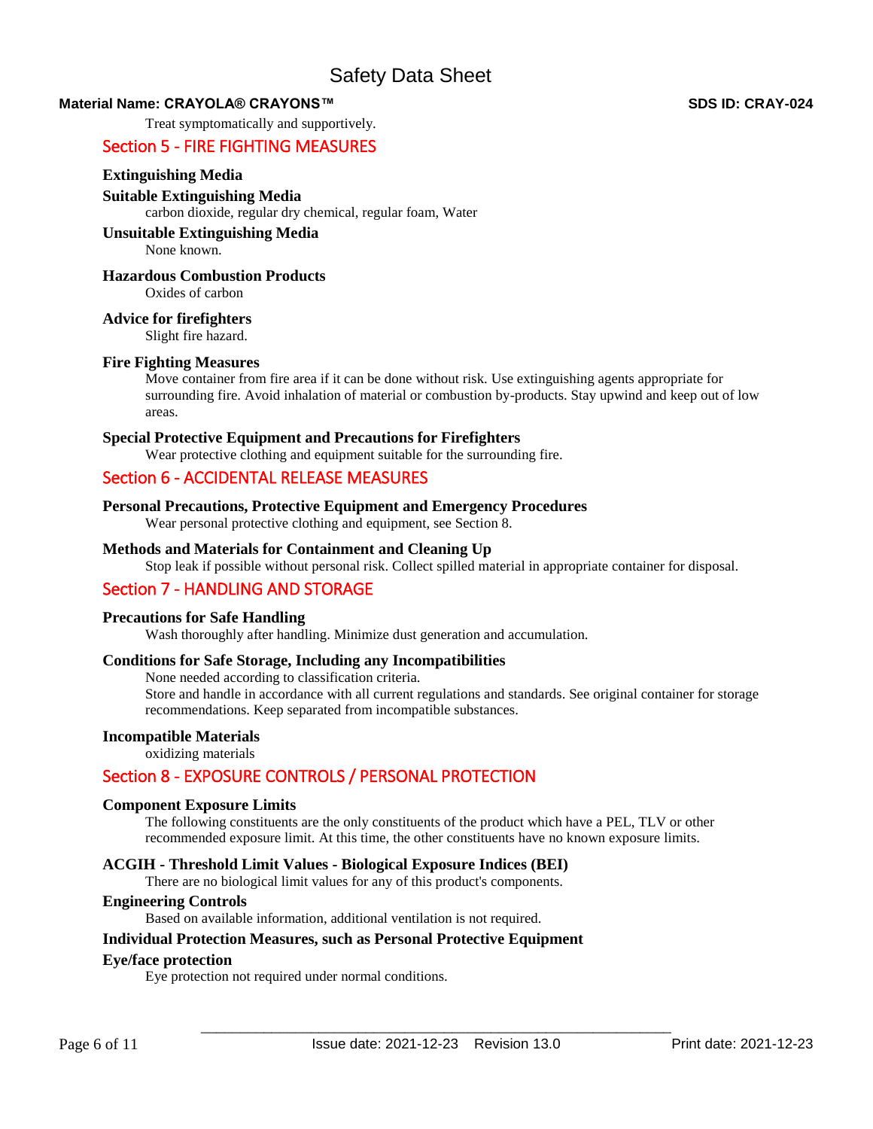# **Material Name: CRAYOLA® CRAYONS™ SDS ID: CRAY-024**

Treat symptomatically and supportively.

# Section 5 - FIRE FIGHTING MEASURES

# **Extinguishing Media**

#### **Suitable Extinguishing Media**

carbon dioxide, regular dry chemical, regular foam, Water

#### **Unsuitable Extinguishing Media** None known.

# **Hazardous Combustion Products**

Oxides of carbon

#### **Advice for firefighters**

Slight fire hazard.

#### **Fire Fighting Measures**

Move container from fire area if it can be done without risk. Use extinguishing agents appropriate for surrounding fire. Avoid inhalation of material or combustion by-products. Stay upwind and keep out of low areas.

#### **Special Protective Equipment and Precautions for Firefighters**

Wear protective clothing and equipment suitable for the surrounding fire.

# Section 6 - ACCIDENTAL RELEASE MEASURES

# **Personal Precautions, Protective Equipment and Emergency Procedures**

Wear personal protective clothing and equipment, see Section 8.

# **Methods and Materials for Containment and Cleaning Up**

Stop leak if possible without personal risk. Collect spilled material in appropriate container for disposal.

# Section 7 - HANDLING AND STORAGE

# **Precautions for Safe Handling**

Wash thoroughly after handling. Minimize dust generation and accumulation.

# **Conditions for Safe Storage, Including any Incompatibilities**

None needed according to classification criteria.

Store and handle in accordance with all current regulations and standards. See original container for storage recommendations. Keep separated from incompatible substances.

# **Incompatible Materials**

oxidizing materials

# Section 8 - EXPOSURE CONTROLS / PERSONAL PROTECTION

#### **Component Exposure Limits**

The following constituents are the only constituents of the product which have a PEL, TLV or other recommended exposure limit. At this time, the other constituents have no known exposure limits.

# **ACGIH - Threshold Limit Values - Biological Exposure Indices (BEI)**

There are no biological limit values for any of this product's components.

#### **Engineering Controls**

Based on available information, additional ventilation is not required.

# **Individual Protection Measures, such as Personal Protective Equipment**

#### **Eye/face protection**

Eye protection not required under normal conditions.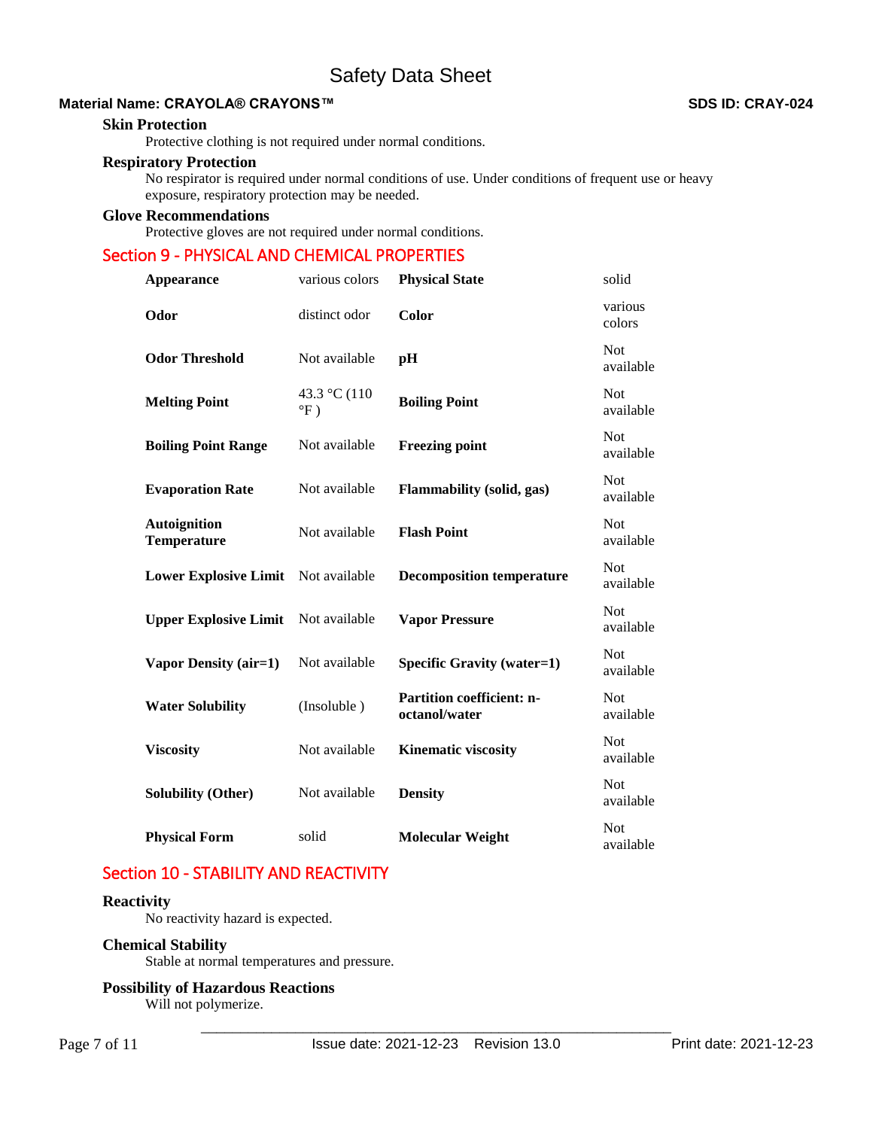# **Material Name: CRAYOLA® CRAYONS™ SDS ID: CRAY-024**

#### **Skin Protection**

Protective clothing is not required under normal conditions.

#### **Respiratory Protection**

No respirator is required under normal conditions of use. Under conditions of frequent use or heavy exposure, respiratory protection may be needed.

# **Glove Recommendations**

Protective gloves are not required under normal conditions.

# Section 9 - PHYSICAL AND CHEMICAL PROPERTIES

| <b>Appearance</b>                         | various colors                           | <b>Physical State</b>                             | solid                   |
|-------------------------------------------|------------------------------------------|---------------------------------------------------|-------------------------|
| Odor                                      | distinct odor                            | Color                                             | various<br>colors       |
| <b>Odor Threshold</b>                     | Not available                            | pH                                                | <b>Not</b><br>available |
| <b>Melting Point</b>                      | 43.3 °C (110<br>$\mathrm{P}(\mathrm{F})$ | <b>Boiling Point</b>                              | Not<br>available        |
| <b>Boiling Point Range</b>                | Not available                            | <b>Freezing point</b>                             | <b>Not</b><br>available |
| <b>Evaporation Rate</b>                   | Not available                            | <b>Flammability (solid, gas)</b>                  | <b>Not</b><br>available |
| <b>Autoignition</b><br><b>Temperature</b> | Not available                            | <b>Flash Point</b>                                | Not<br>available        |
| <b>Lower Explosive Limit</b>              | Not available                            | <b>Decomposition temperature</b>                  | Not<br>available        |
| <b>Upper Explosive Limit</b>              | Not available                            | <b>Vapor Pressure</b>                             | <b>Not</b><br>available |
| Vapor Density (air=1)                     | Not available                            | <b>Specific Gravity (water=1)</b>                 | <b>Not</b><br>available |
| <b>Water Solubility</b>                   | (Insoluble)                              | <b>Partition coefficient: n-</b><br>octanol/water | <b>Not</b><br>available |
| <b>Viscosity</b>                          | Not available                            | <b>Kinematic viscosity</b>                        | <b>Not</b><br>available |
| <b>Solubility (Other)</b>                 | Not available                            | <b>Density</b>                                    | <b>Not</b><br>available |
| <b>Physical Form</b>                      | solid                                    | <b>Molecular Weight</b>                           | Not<br>available        |

# Section 10 - STABILITY AND REACTIVITY

# **Reactivity**

No reactivity hazard is expected.

#### **Chemical Stability**

Stable at normal temperatures and pressure.

# **Possibility of Hazardous Reactions**

Will not polymerize.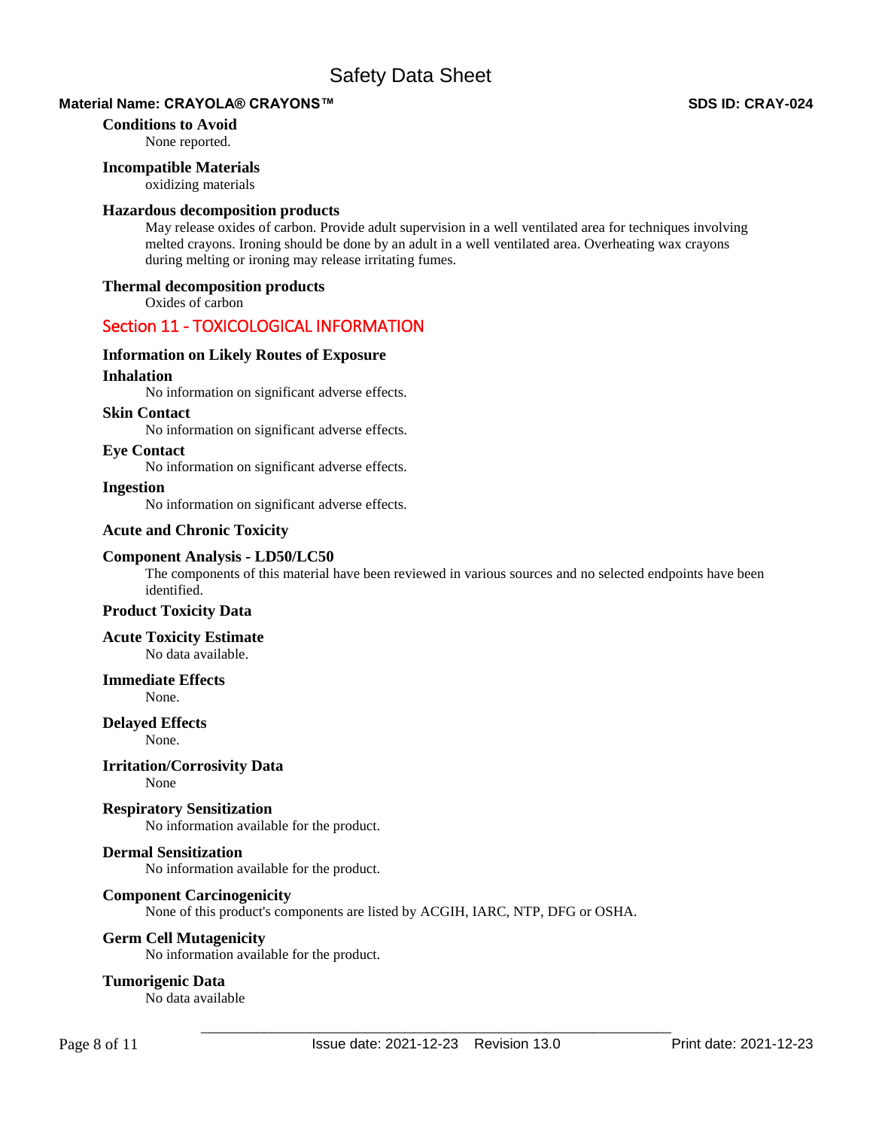# **Material Name: CRAYOLA® CRAYONS™ SDS ID: CRAY-024**

#### **Conditions to Avoid**

None reported.

#### **Incompatible Materials**

oxidizing materials

#### **Hazardous decomposition products**

May release oxides of carbon. Provide adult supervision in a well ventilated area for techniques involving melted crayons. Ironing should be done by an adult in a well ventilated area. Overheating wax crayons during melting or ironing may release irritating fumes.

#### **Thermal decomposition products**

Oxides of carbon

# Section 11 - TOXICOLOGICAL INFORMATION

#### **Information on Likely Routes of Exposure**

# **Inhalation**

No information on significant adverse effects.

#### **Skin Contact**

No information on significant adverse effects.

#### **Eye Contact**

No information on significant adverse effects.

**Ingestion** 

No information on significant adverse effects.

# **Acute and Chronic Toxicity**

#### **Component Analysis - LD50/LC50**

The components of this material have been reviewed in various sources and no selected endpoints have been identified.

# **Product Toxicity Data**

**Acute Toxicity Estimate**  No data available.

# **Immediate Effects**

None.

#### **Delayed Effects**

None.

# **Irritation/Corrosivity Data**

None

# **Respiratory Sensitization**

No information available for the product.

# **Dermal Sensitization**

No information available for the product.

#### **Component Carcinogenicity**

None of this product's components are listed by ACGIH, IARC, NTP, DFG or OSHA.

# **Germ Cell Mutagenicity**

No information available for the product.

#### **Tumorigenic Data**

No data available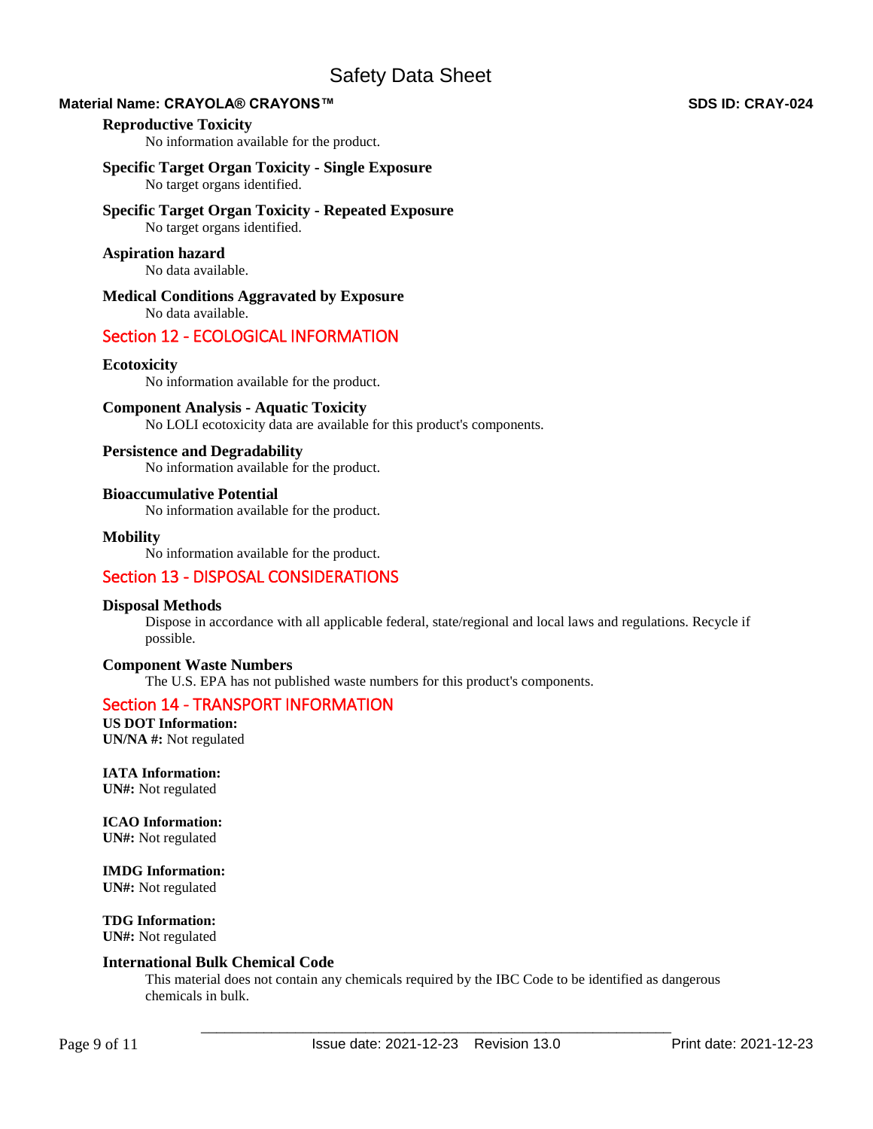# **Material Name: CRAYOLA® CRAYONS™ SDS ID: CRAY-024**

#### **Reproductive Toxicity**

No information available for the product.

# **Specific Target Organ Toxicity - Single Exposure**

No target organs identified.

# **Specific Target Organ Toxicity - Repeated Exposure**

No target organs identified.

# **Aspiration hazard**

No data available.

**Medical Conditions Aggravated by Exposure** No data available.

# Section 12 - ECOLOGICAL INFORMATION

# **Ecotoxicity**

No information available for the product.

#### **Component Analysis - Aquatic Toxicity**

No LOLI ecotoxicity data are available for this product's components.

#### **Persistence and Degradability**

No information available for the product.

#### **Bioaccumulative Potential**

No information available for the product.

#### **Mobility**

No information available for the product.

# Section 13 - DISPOSAL CONSIDERATIONS

# **Disposal Methods**

Dispose in accordance with all applicable federal, state/regional and local laws and regulations. Recycle if possible.

# **Component Waste Numbers**

The U.S. EPA has not published waste numbers for this product's components.

# Section 14 - TRANSPORT INFORMATION

**US DOT Information: UN/NA #:** Not regulated

**IATA Information: UN#:** Not regulated

**ICAO Information: UN#:** Not regulated

**IMDG Information: UN#:** Not regulated

**TDG Information: UN#:** Not regulated

#### **International Bulk Chemical Code**

This material does not contain any chemicals required by the IBC Code to be identified as dangerous chemicals in bulk.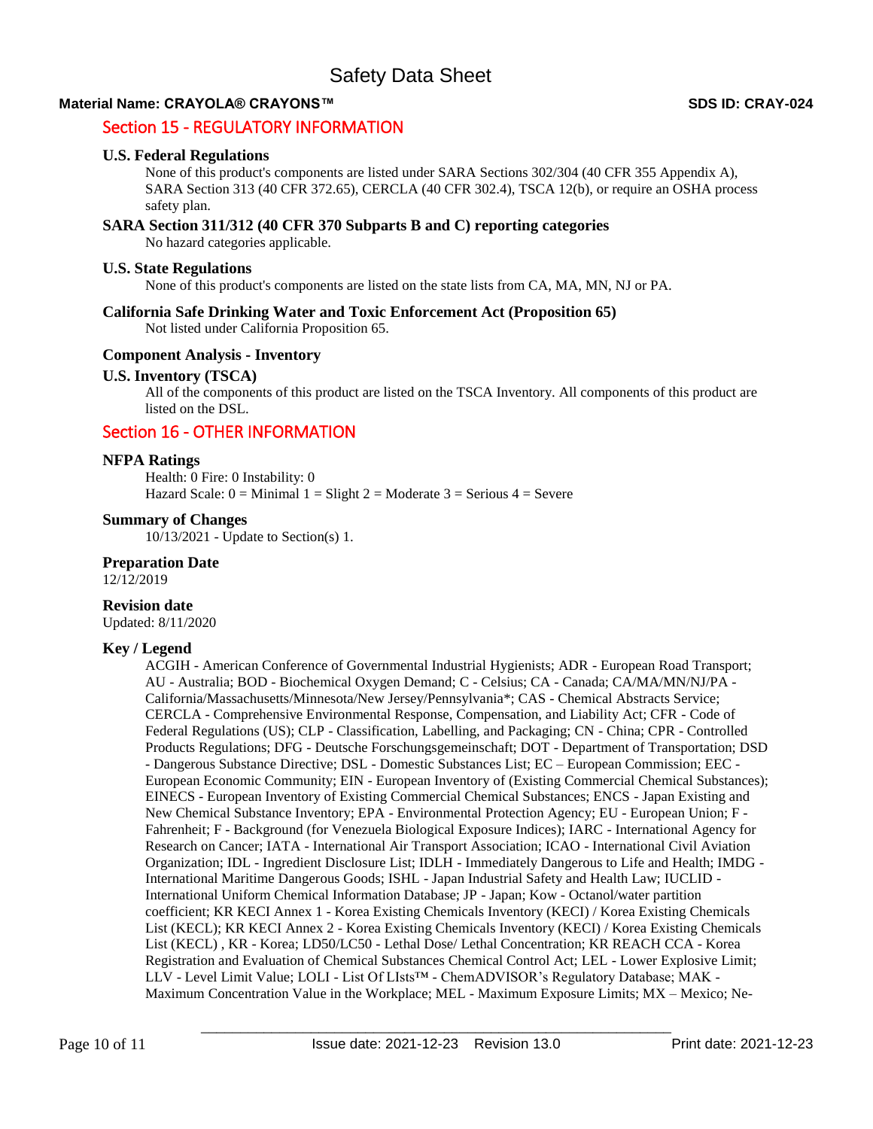# Section 15 - REGULATORY INFORMATION

#### **U.S. Federal Regulations**

None of this product's components are listed under SARA Sections 302/304 (40 CFR 355 Appendix A), SARA Section 313 (40 CFR 372.65), CERCLA (40 CFR 302.4), TSCA 12(b), or require an OSHA process safety plan.

#### **SARA Section 311/312 (40 CFR 370 Subparts B and C) reporting categories**

No hazard categories applicable.

#### **U.S. State Regulations**

None of this product's components are listed on the state lists from CA, MA, MN, NJ or PA.

#### **California Safe Drinking Water and Toxic Enforcement Act (Proposition 65)**

Not listed under California Proposition 65.

# **Component Analysis - Inventory**

# **U.S. Inventory (TSCA)**

All of the components of this product are listed on the TSCA Inventory. All components of this product are listed on the DSL.

# Section 16 - OTHER INFORMATION

#### **NFPA Ratings**

Health: 0 Fire: 0 Instability: 0 Hazard Scale:  $0 =$  Minimal  $1 =$  Slight  $2 =$  Moderate  $3 =$  Serious  $4 =$  Severe

# **Summary of Changes**

10/13/2021 - Update to Section(s) 1.

# **Preparation Date**

12/12/2019

#### **Revision date**

Updated: 8/11/2020

# **Key / Legend**

ACGIH - American Conference of Governmental Industrial Hygienists; ADR - European Road Transport; AU - Australia; BOD - Biochemical Oxygen Demand; C - Celsius; CA - Canada; CA/MA/MN/NJ/PA - California/Massachusetts/Minnesota/New Jersey/Pennsylvania\*; CAS - Chemical Abstracts Service; CERCLA - Comprehensive Environmental Response, Compensation, and Liability Act; CFR - Code of Federal Regulations (US); CLP - Classification, Labelling, and Packaging; CN - China; CPR - Controlled Products Regulations; DFG - Deutsche Forschungsgemeinschaft; DOT - Department of Transportation; DSD - Dangerous Substance Directive; DSL - Domestic Substances List; EC – European Commission; EEC - European Economic Community; EIN - European Inventory of (Existing Commercial Chemical Substances); EINECS - European Inventory of Existing Commercial Chemical Substances; ENCS - Japan Existing and New Chemical Substance Inventory; EPA - Environmental Protection Agency; EU - European Union; F - Fahrenheit; F - Background (for Venezuela Biological Exposure Indices); IARC - International Agency for Research on Cancer; IATA - International Air Transport Association; ICAO - International Civil Aviation Organization; IDL - Ingredient Disclosure List; IDLH - Immediately Dangerous to Life and Health; IMDG - International Maritime Dangerous Goods; ISHL - Japan Industrial Safety and Health Law; IUCLID - International Uniform Chemical Information Database; JP - Japan; Kow - Octanol/water partition coefficient; KR KECI Annex 1 - Korea Existing Chemicals Inventory (KECI) / Korea Existing Chemicals List (KECL); KR KECI Annex 2 - Korea Existing Chemicals Inventory (KECI) / Korea Existing Chemicals List (KECL) , KR - Korea; LD50/LC50 - Lethal Dose/ Lethal Concentration; KR REACH CCA - Korea Registration and Evaluation of Chemical Substances Chemical Control Act; LEL - Lower Explosive Limit; LLV - Level Limit Value; LOLI - List Of LIsts™ - ChemADVISOR's Regulatory Database; MAK - Maximum Concentration Value in the Workplace; MEL - Maximum Exposure Limits; MX – Mexico; Ne-